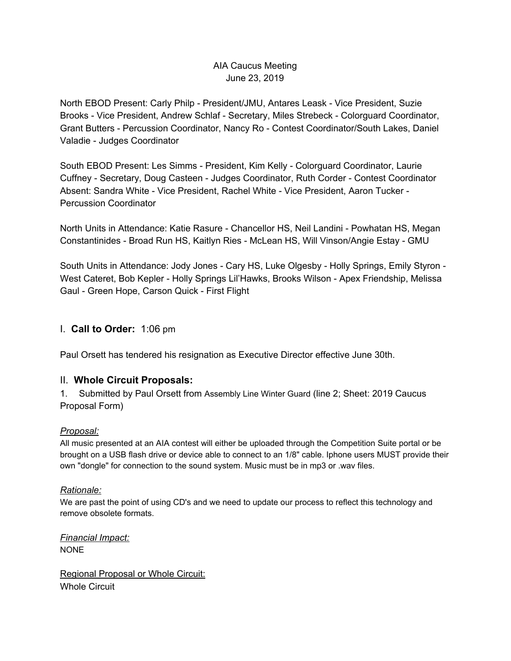# AIA Caucus Meeting June 23, 2019

North EBOD Present: Carly Philp - President/JMU, Antares Leask - Vice President, Suzie Brooks - Vice President, Andrew Schlaf - Secretary, Miles Strebeck - Colorguard Coordinator, Grant Butters - Percussion Coordinator, Nancy Ro - Contest Coordinator/South Lakes, Daniel Valadie - Judges Coordinator

South EBOD Present: Les Simms - President, Kim Kelly - Colorguard Coordinator, Laurie Cuffney - Secretary, Doug Casteen - Judges Coordinator, Ruth Corder - Contest Coordinator Absent: Sandra White - Vice President, Rachel White - Vice President, Aaron Tucker - Percussion Coordinator

North Units in Attendance: Katie Rasure - Chancellor HS, Neil Landini - Powhatan HS, Megan Constantinides - Broad Run HS, Kaitlyn Ries - McLean HS, Will Vinson/Angie Estay - GMU

South Units in Attendance: Jody Jones - Cary HS, Luke Olgesby - Holly Springs, Emily Styron - West Cateret, Bob Kepler - Holly Springs Lil'Hawks, Brooks Wilson - Apex Friendship, Melissa Gaul - Green Hope, Carson Quick - First Flight

# I. **Call to Order:** 1:06 pm

Paul Orsett has tendered his resignation as Executive Director effective June 30th.

## II. **Whole Circuit Proposals:**

1. Submitted by Paul Orsett from Assembly Line Winter Guard (line 2; Sheet: 2019 Caucus Proposal Form)

## *Proposal:*

All music presented at an AIA contest will either be uploaded through the Competition Suite portal or be brought on a USB flash drive or device able to connect to an 1/8" cable. Iphone users MUST provide their own "dongle" for connection to the sound system. Music must be in mp3 or .wav files.

### *Rationale:*

We are past the point of using CD's and we need to update our process to reflect this technology and remove obsolete formats.

*Financial Impact:* NONE

Regional Proposal or Whole Circuit: Whole Circuit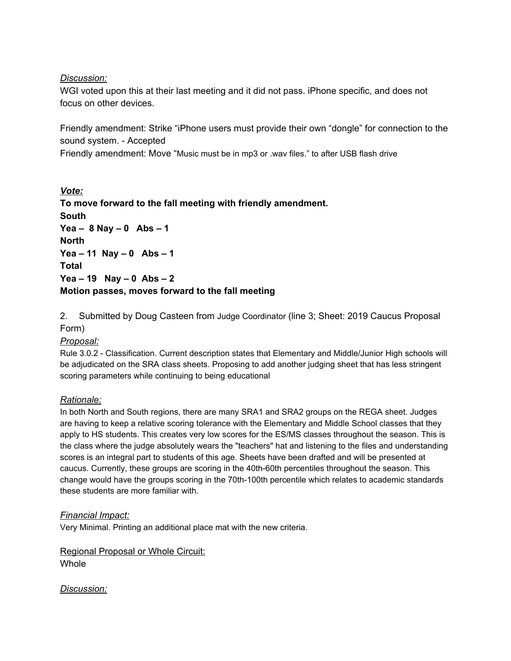### *Discussion:*

WGI voted upon this at their last meeting and it did not pass. iPhone specific, and does not focus on other devices.

Friendly amendment: Strike "iPhone users must provide their own "dongle" for connection to the sound system. - Accepted

Friendly amendment: Move "Music must be in mp3 or .wav files." to after USB flash drive

*Vote:* **To move forward to the fall meeting with friendly amendment. South Yea – 8 Nay – 0 Abs – 1 North Yea – 11 Nay – 0 Abs – 1 Total Yea – 19 Nay – 0 Abs – 2 Motion passes, moves forward to the fall meeting**

2. Submitted by Doug Casteen from Judge Coordinator (line 3; Sheet: 2019 Caucus Proposal Form)

### *Proposal:*

Rule 3.0.2 - Classification. Current description states that Elementary and Middle/Junior High schools will be adjudicated on the SRA class sheets. Proposing to add another judging sheet that has less stringent scoring parameters while continuing to being educational

### *Rationale:*

In both North and South regions, there are many SRA1 and SRA2 groups on the REGA sheet. Judges are having to keep a relative scoring tolerance with the Elementary and Middle School classes that they apply to HS students. This creates very low scores for the ES/MS classes throughout the season. This is the class where the judge absolutely wears the "teachers" hat and listening to the files and understanding scores is an integral part to students of this age. Sheets have been drafted and will be presented at caucus. Currently, these groups are scoring in the 40th-60th percentiles throughout the season. This change would have the groups scoring in the 70th-100th percentile which relates to academic standards these students are more familiar with.

### *Financial Impact:*

Very Minimal. Printing an additional place mat with the new criteria.

Regional Proposal or Whole Circuit: **Whole** 

*Discussion:*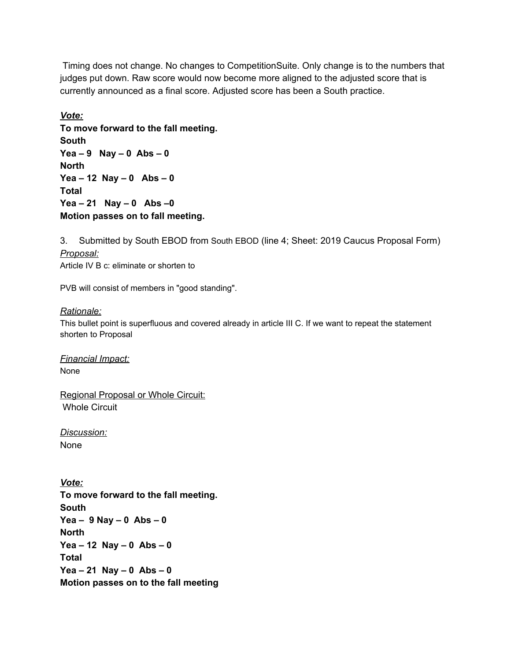Timing does not change. No changes to CompetitionSuite. Only change is to the numbers that judges put down. Raw score would now become more aligned to the adjusted score that is currently announced as a final score. Adjusted score has been a South practice.

*Vote:* **To move forward to the fall meeting. South Yea – 9 Nay – 0 Abs – 0 North Yea – 12 Nay – 0 Abs – 0 Total Yea – 21 Nay – 0 Abs –0 Motion passes on to fall meeting.**

3. Submitted by South EBOD from South EBOD (line 4; Sheet: 2019 Caucus Proposal Form) *Proposal:* Article IV B c: eliminate or shorten to

PVB will consist of members in "good standing".

#### *Rationale:*

This bullet point is superfluous and covered already in article III C. If we want to repeat the statement shorten to Proposal

*Financial Impact:* None

Regional Proposal or Whole Circuit: Whole Circuit

*Discussion:* None

*Vote:* **To move forward to the fall meeting. South Yea – 9 Nay – 0 Abs – 0 North Yea – 12 Nay – 0 Abs – 0 Total Yea – 21 Nay – 0 Abs – 0 Motion passes on to the fall meeting**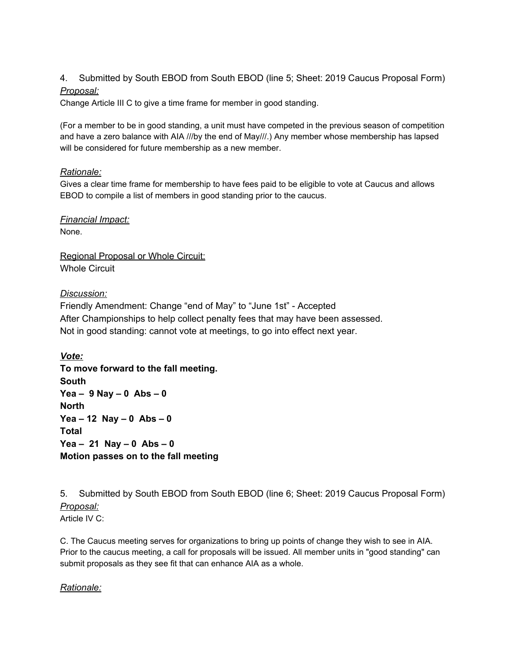### 4. Submitted by South EBOD from South EBOD (line 5; Sheet: 2019 Caucus Proposal Form) *Proposal:*

Change Article III C to give a time frame for member in good standing.

(For a member to be in good standing, a unit must have competed in the previous season of competition and have a zero balance with AIA ///by the end of May///.) Any member whose membership has lapsed will be considered for future membership as a new member.

#### *Rationale:*

Gives a clear time frame for membership to have fees paid to be eligible to vote at Caucus and allows EBOD to compile a list of members in good standing prior to the caucus.

*Financial Impact:* None.

Regional Proposal or Whole Circuit: Whole Circuit

### *Discussion:*

Friendly Amendment: Change "end of May" to "June 1st" - Accepted After Championships to help collect penalty fees that may have been assessed. Not in good standing: cannot vote at meetings, to go into effect next year.

*Vote:* **To move forward to the fall meeting. South Yea – 9 Nay – 0 Abs – 0 North Yea – 12 Nay – 0 Abs – 0 Total Yea – 21 Nay – 0 Abs – 0 Motion passes on to the fall meeting**

5. Submitted by South EBOD from South EBOD (line 6; Sheet: 2019 Caucus Proposal Form) *Proposal:* Article IV C:

C. The Caucus meeting serves for organizations to bring up points of change they wish to see in AIA. Prior to the caucus meeting, a call for proposals will be issued. All member units in "good standing" can submit proposals as they see fit that can enhance AIA as a whole.

#### *Rationale:*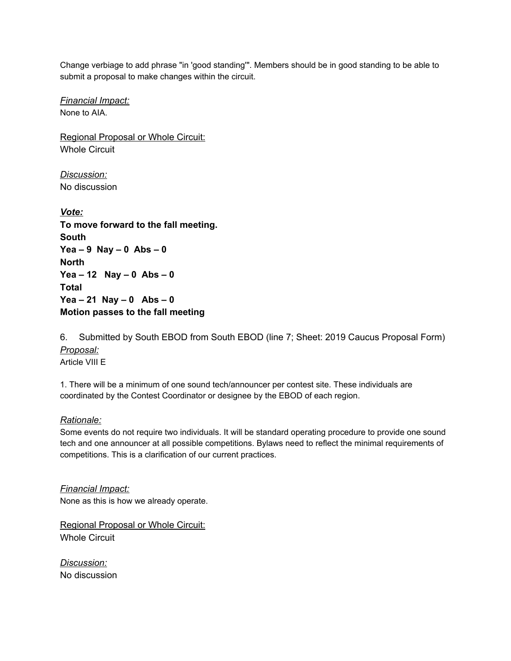Change verbiage to add phrase "in 'good standing'". Members should be in good standing to be able to submit a proposal to make changes within the circuit.

*Financial Impact:* None to AIA.

Regional Proposal or Whole Circuit: Whole Circuit

*Discussion:* No discussion

*Vote:* **To move forward to the fall meeting. South Yea – 9 Nay – 0 Abs – 0 North Yea – 12 Nay – 0 Abs – 0 Total Yea – 21 Nay – 0 Abs – 0 Motion passes to the fall meeting**

6. Submitted by South EBOD from South EBOD (line 7; Sheet: 2019 Caucus Proposal Form) *Proposal:* Article VIII E

1. There will be a minimum of one sound tech/announcer per contest site. These individuals are coordinated by the Contest Coordinator or designee by the EBOD of each region.

*Rationale:*

Some events do not require two individuals. It will be standard operating procedure to provide one sound tech and one announcer at all possible competitions. Bylaws need to reflect the minimal requirements of competitions. This is a clarification of our current practices.

*Financial Impact:* None as this is how we already operate.

Regional Proposal or Whole Circuit: Whole Circuit

*Discussion:* No discussion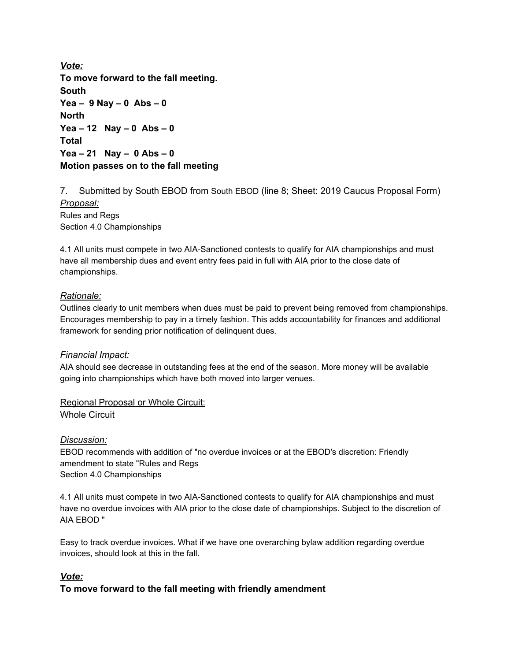*Vote:* **To move forward to the fall meeting. South Yea – 9 Nay – 0 Abs – 0 North Yea – 12 Nay – 0 Abs – 0 Total Yea – 21 Nay – 0 Abs – 0 Motion passes on to the fall meeting**

7. Submitted by South EBOD from South EBOD (line 8; Sheet: 2019 Caucus Proposal Form) *Proposal:* Rules and Regs Section 4.0 Championships

4.1 All units must compete in two AIA-Sanctioned contests to qualify for AIA championships and must have all membership dues and event entry fees paid in full with AIA prior to the close date of championships.

#### *Rationale:*

Outlines clearly to unit members when dues must be paid to prevent being removed from championships. Encourages membership to pay in a timely fashion. This adds accountability for finances and additional framework for sending prior notification of delinquent dues.

#### *Financial Impact:*

AIA should see decrease in outstanding fees at the end of the season. More money will be available going into championships which have both moved into larger venues.

Regional Proposal or Whole Circuit: Whole Circuit

#### *Discussion:*

EBOD recommends with addition of "no overdue invoices or at the EBOD's discretion: Friendly amendment to state "Rules and Regs Section 4.0 Championships

4.1 All units must compete in two AIA-Sanctioned contests to qualify for AIA championships and must have no overdue invoices with AIA prior to the close date of championships. Subject to the discretion of AIA EBOD "

Easy to track overdue invoices. What if we have one overarching bylaw addition regarding overdue invoices, should look at this in the fall.

### *Vote:*

### **To move forward to the fall meeting with friendly amendment**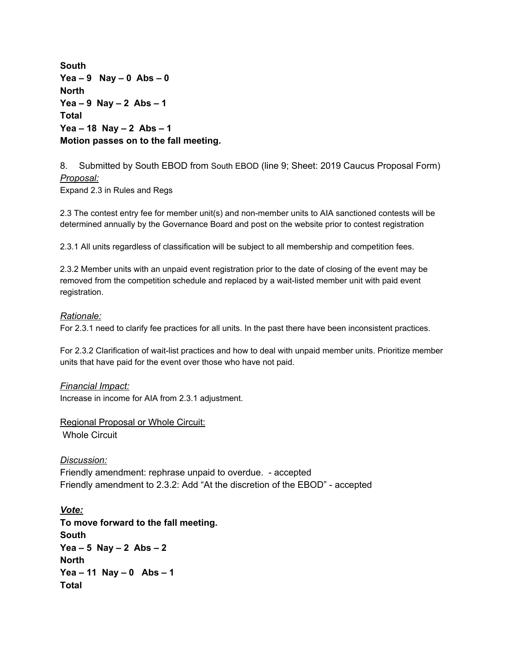**South Yea – 9 Nay – 0 Abs – 0 North Yea – 9 Nay – 2 Abs – 1 Total Yea – 18 Nay – 2 Abs – 1 Motion passes on to the fall meeting.**

8. Submitted by South EBOD from South EBOD (line 9; Sheet: 2019 Caucus Proposal Form) *Proposal:*

Expand 2.3 in Rules and Regs

2.3 The contest entry fee for member unit(s) and non-member units to AIA sanctioned contests will be determined annually by the Governance Board and post on the website prior to contest registration

2.3.1 All units regardless of classification will be subject to all membership and competition fees.

2.3.2 Member units with an unpaid event registration prior to the date of closing of the event may be removed from the competition schedule and replaced by a wait-listed member unit with paid event registration.

#### *Rationale:*

For 2.3.1 need to clarify fee practices for all units. In the past there have been inconsistent practices.

For 2.3.2 Clarification of wait-list practices and how to deal with unpaid member units. Prioritize member units that have paid for the event over those who have not paid.

#### *Financial Impact:*

Increase in income for AIA from 2.3.1 adjustment.

Regional Proposal or Whole Circuit: Whole Circuit

*Discussion:* Friendly amendment: rephrase unpaid to overdue. - accepted Friendly amendment to 2.3.2: Add "At the discretion of the EBOD" - accepted

*Vote:* **To move forward to the fall meeting. South Yea – 5 Nay – 2 Abs – 2 North Yea – 11 Nay – 0 Abs – 1 Total**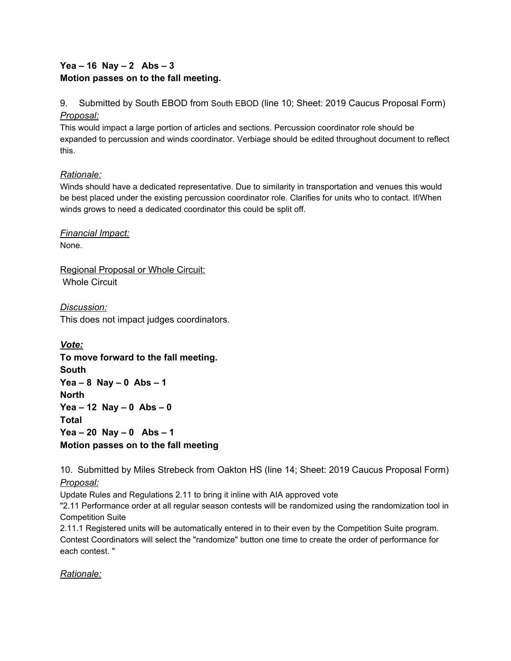# **Yea – 16 Nay – 2 Abs – 3 Motion passes on to the fall meeting.**

9. Submitted by South EBOD from South EBOD (line 10; Sheet: 2019 Caucus Proposal Form) *Proposal:*

This would impact a large portion of articles and sections. Percussion coordinator role should be expanded to percussion and winds coordinator. Verbiage should be edited throughout document to reflect this.

## *Rationale:*

Winds should have a dedicated representative. Due to similarity in transportation and venues this would be best placed under the existing percussion coordinator role. Clarifies for units who to contact. If/When winds grows to need a dedicated coordinator this could be split off.

*Financial Impact:* None.

Regional Proposal or Whole Circuit: Whole Circuit

*Discussion:* This does not impact judges coordinators.

*Vote:* **To move forward to the fall meeting. South Yea – 8 Nay – 0 Abs – 1 North Yea – 12 Nay – 0 Abs – 0 Total Yea – 20 Nay – 0 Abs – 1 Motion passes on to the fall meeting**

10. Submitted by Miles Strebeck from Oakton HS (line 14; Sheet: 2019 Caucus Proposal Form) *Proposal:*

Update Rules and Regulations 2.11 to bring it inline with AIA approved vote

"2.11 Performance order at all regular season contests will be randomized using the randomization tool in Competition Suite

2.11.1 Registered units will be automatically entered in to their even by the Competition Suite program. Contest Coordinators will select the "randomize" button one time to create the order of performance for each contest. "

*Rationale:*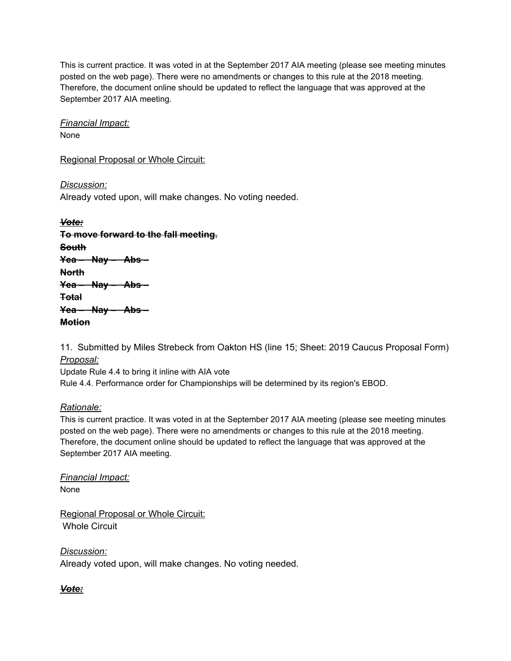This is current practice. It was voted in at the September 2017 AIA meeting (please see meeting minutes posted on the web page). There were no amendments or changes to this rule at the 2018 meeting. Therefore, the document online should be updated to reflect the language that was approved at the September 2017 AIA meeting.

*Financial Impact:* None

Regional Proposal or Whole Circuit:

*Discussion:* Already voted upon, will make changes. No voting needed.

*Vote:* **To move forward to the fall meeting. South Yea – Nay – Abs – North Yea – Nay – Abs – Total Yea – Nay – Abs – Motion**

11. Submitted by Miles Strebeck from Oakton HS (line 15; Sheet: 2019 Caucus Proposal Form) *Proposal:*

Update Rule 4.4 to bring it inline with AIA vote Rule 4.4. Performance order for Championships will be determined by its region's EBOD.

## *Rationale:*

This is current practice. It was voted in at the September 2017 AIA meeting (please see meeting minutes posted on the web page). There were no amendments or changes to this rule at the 2018 meeting. Therefore, the document online should be updated to reflect the language that was approved at the September 2017 AIA meeting.

*Financial Impact:* None

Regional Proposal or Whole Circuit: Whole Circuit

*Discussion:* Already voted upon, will make changes. No voting needed.

*Vote:*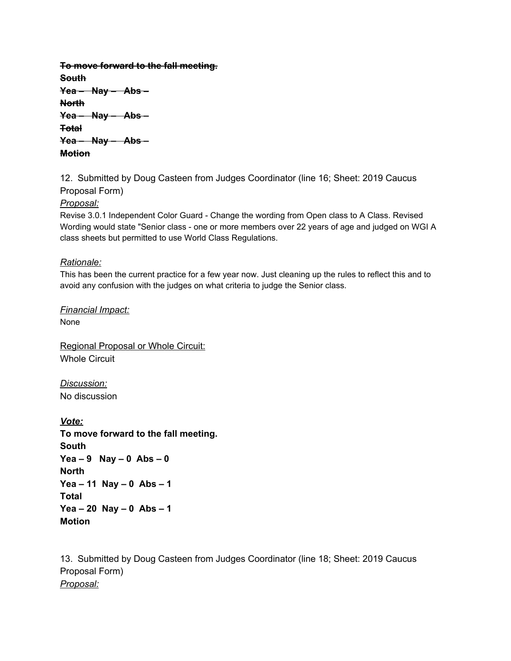**To move forward to the fall meeting. South Yea – Nay – Abs – North Yea – Nay – Abs – Total Yea – Nay – Abs – Motion**

12. Submitted by Doug Casteen from Judges Coordinator (line 16; Sheet: 2019 Caucus Proposal Form)

*Proposal:*

Revise 3.0.1 Independent Color Guard - Change the wording from Open class to A Class. Revised Wording would state "Senior class - one or more members over 22 years of age and judged on WGI A class sheets but permitted to use World Class Regulations.

### *Rationale:*

This has been the current practice for a few year now. Just cleaning up the rules to reflect this and to avoid any confusion with the judges on what criteria to judge the Senior class.

*Financial Impact:* None

Regional Proposal or Whole Circuit: Whole Circuit

*Discussion:* No discussion

*Vote:* **To move forward to the fall meeting. South Yea – 9 Nay – 0 Abs – 0 North Yea – 11 Nay – 0 Abs – 1 Total Yea – 20 Nay – 0 Abs – 1 Motion**

13. Submitted by Doug Casteen from Judges Coordinator (line 18; Sheet: 2019 Caucus Proposal Form) *Proposal:*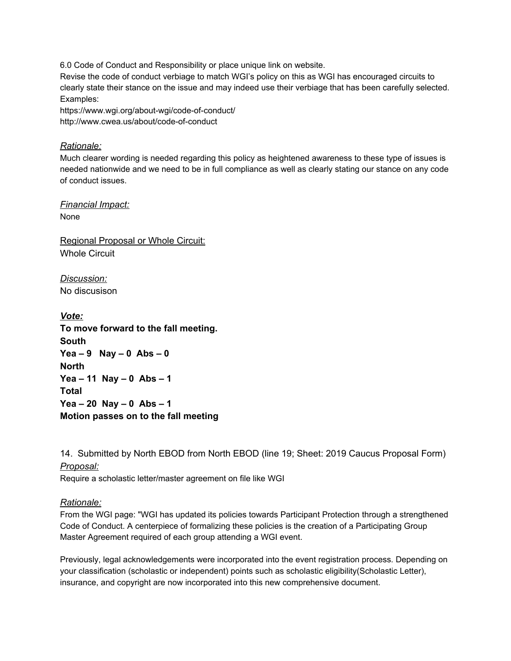6.0 Code of Conduct and Responsibility or place unique link on website.

Revise the code of conduct verbiage to match WGI's policy on this as WGI has encouraged circuits to clearly state their stance on the issue and may indeed use their verbiage that has been carefully selected. Examples:

https://www.wgi.org/about-wgi/code-of-conduct/ http://www.cwea.us/about/code-of-conduct

#### *Rationale:*

Much clearer wording is needed regarding this policy as heightened awareness to these type of issues is needed nationwide and we need to be in full compliance as well as clearly stating our stance on any code of conduct issues.

*Financial Impact:* None

Regional Proposal or Whole Circuit: Whole Circuit

*Discussion:* No discusison

*Vote:* **To move forward to the fall meeting. South Yea – 9 Nay – 0 Abs – 0 North Yea – 11 Nay – 0 Abs – 1 Total Yea – 20 Nay – 0 Abs – 1 Motion passes on to the fall meeting**

14. Submitted by North EBOD from North EBOD (line 19; Sheet: 2019 Caucus Proposal Form) *Proposal:*

Require a scholastic letter/master agreement on file like WGI

#### *Rationale:*

From the WGI page: "WGI has updated its policies towards Participant Protection through a strengthened Code of Conduct. A centerpiece of formalizing these policies is the creation of a Participating Group Master Agreement required of each group attending a WGI event.

Previously, legal acknowledgements were incorporated into the event registration process. Depending on your classification (scholastic or independent) points such as scholastic eligibility(Scholastic Letter), insurance, and copyright are now incorporated into this new comprehensive document.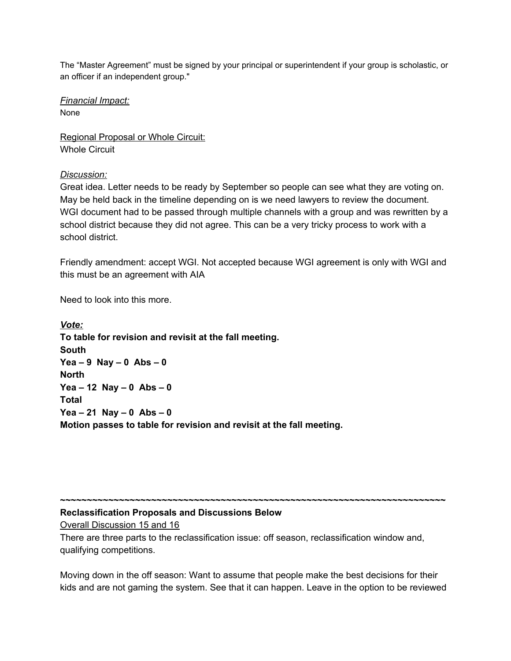The "Master Agreement" must be signed by your principal or superintendent if your group is scholastic, or an officer if an independent group."

*Financial Impact:* None

Regional Proposal or Whole Circuit: Whole Circuit

### *Discussion:*

Great idea. Letter needs to be ready by September so people can see what they are voting on. May be held back in the timeline depending on is we need lawyers to review the document. WGI document had to be passed through multiple channels with a group and was rewritten by a school district because they did not agree. This can be a very tricky process to work with a school district.

Friendly amendment: accept WGI. Not accepted because WGI agreement is only with WGI and this must be an agreement with AIA

Need to look into this more.

*Vote:* **To table for revision and revisit at the fall meeting. South Yea – 9 Nay – 0 Abs – 0 North Yea – 12 Nay – 0 Abs – 0 Total Yea – 21 Nay – 0 Abs – 0 Motion passes to table for revision and revisit at the fall meeting.**

### **Reclassification Proposals and Discussions Below**

Overall Discussion 15 and 16

There are three parts to the reclassification issue: off season, reclassification window and, qualifying competitions.

Moving down in the off season: Want to assume that people make the best decisions for their kids and are not gaming the system. See that it can happen. Leave in the option to be reviewed

**~~~~~~~~~~~~~~~~~~~~~~~~~~~~~~~~~~~~~~~~~~~~~~~~~~~~~~~~~~~~~~~~~~~~~~~~**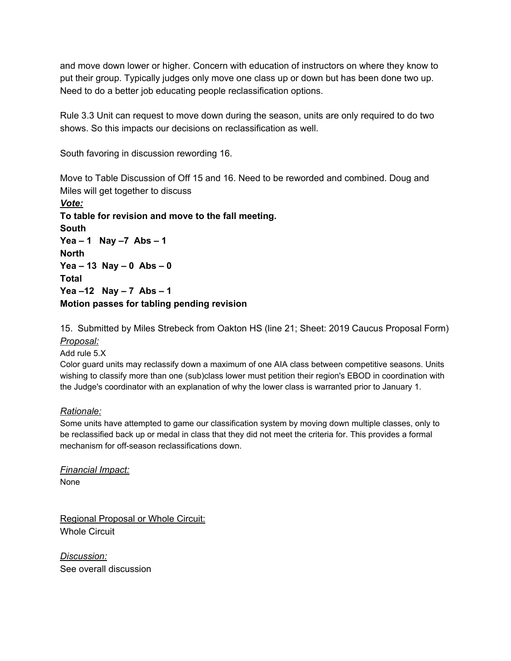and move down lower or higher. Concern with education of instructors on where they know to put their group. Typically judges only move one class up or down but has been done two up. Need to do a better job educating people reclassification options.

Rule 3.3 Unit can request to move down during the season, units are only required to do two shows. So this impacts our decisions on reclassification as well.

South favoring in discussion rewording 16.

Move to Table Discussion of Off 15 and 16. Need to be reworded and combined. Doug and Miles will get together to discuss

*Vote:* **To table for revision and move to the fall meeting. South Yea – 1 Nay –7 Abs – 1 North Yea – 13 Nay – 0 Abs – 0 Total Yea –12 Nay – 7 Abs – 1 Motion passes for tabling pending revision**

15. Submitted by Miles Strebeck from Oakton HS (line 21; Sheet: 2019 Caucus Proposal Form) *Proposal:*

Add rule 5.X

Color guard units may reclassify down a maximum of one AIA class between competitive seasons. Units wishing to classify more than one (sub)class lower must petition their region's EBOD in coordination with the Judge's coordinator with an explanation of why the lower class is warranted prior to January 1.

### *Rationale:*

Some units have attempted to game our classification system by moving down multiple classes, only to be reclassified back up or medal in class that they did not meet the criteria for. This provides a formal mechanism for off-season reclassifications down.

*Financial Impact:* None

Regional Proposal or Whole Circuit: Whole Circuit

*Discussion:* See overall discussion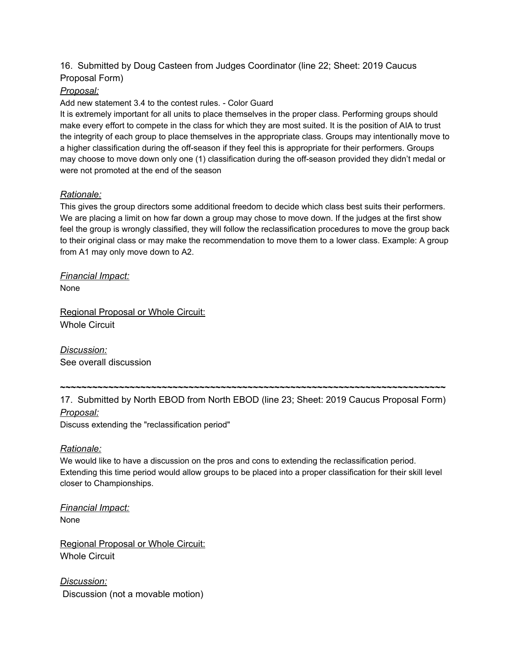## 16. Submitted by Doug Casteen from Judges Coordinator (line 22; Sheet: 2019 Caucus Proposal Form)

### *Proposal:*

Add new statement 3.4 to the contest rules. - Color Guard

It is extremely important for all units to place themselves in the proper class. Performing groups should make every effort to compete in the class for which they are most suited. It is the position of AIA to trust the integrity of each group to place themselves in the appropriate class. Groups may intentionally move to a higher classification during the off-season if they feel this is appropriate for their performers. Groups may choose to move down only one (1) classification during the off-season provided they didn't medal or were not promoted at the end of the season

### *Rationale:*

This gives the group directors some additional freedom to decide which class best suits their performers. We are placing a limit on how far down a group may chose to move down. If the judges at the first show feel the group is wrongly classified, they will follow the reclassification procedures to move the group back to their original class or may make the recommendation to move them to a lower class. Example: A group from A1 may only move down to A2.

*Financial Impact:* None

Regional Proposal or Whole Circuit: Whole Circuit

*Discussion:* See overall discussion

17. Submitted by North EBOD from North EBOD (line 23; Sheet: 2019 Caucus Proposal Form) *Proposal:*

**~~~~~~~~~~~~~~~~~~~~~~~~~~~~~~~~~~~~~~~~~~~~~~~~~~~~~~~~~~~~~~~~~~~~~~~~**

Discuss extending the "reclassification period"

### *Rationale:*

We would like to have a discussion on the pros and cons to extending the reclassification period. Extending this time period would allow groups to be placed into a proper classification for their skill level closer to Championships.

*Financial Impact:* None

Regional Proposal or Whole Circuit: Whole Circuit

*Discussion:* Discussion (not a movable motion)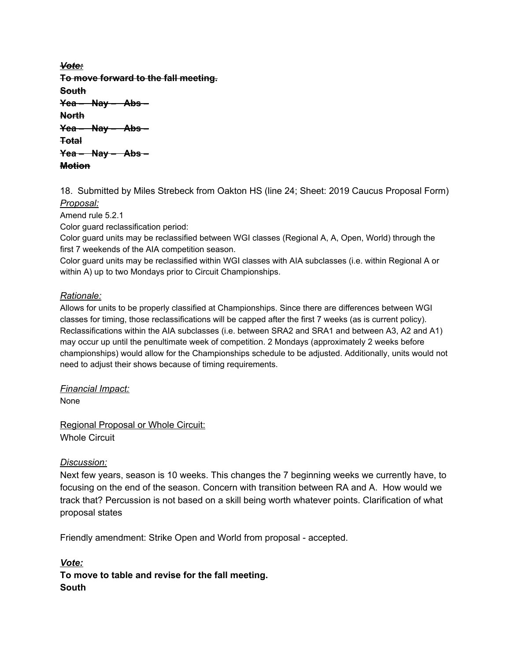*Vote:* **To move forward to the fall meeting. South Yea – Nay – Abs – North Yea – Nay – Abs – Total Yea – Nay – Abs – Motion**

18. Submitted by Miles Strebeck from Oakton HS (line 24; Sheet: 2019 Caucus Proposal Form) *Proposal:*

Amend rule 5.2.1

Color guard reclassification period:

Color guard units may be reclassified between WGI classes (Regional A, A, Open, World) through the first 7 weekends of the AIA competition season.

Color guard units may be reclassified within WGI classes with AIA subclasses (i.e. within Regional A or within A) up to two Mondays prior to Circuit Championships.

### *Rationale:*

Allows for units to be properly classified at Championships. Since there are differences between WGI classes for timing, those reclassifications will be capped after the first 7 weeks (as is current policy). Reclassifications within the AIA subclasses (i.e. between SRA2 and SRA1 and between A3, A2 and A1) may occur up until the penultimate week of competition. 2 Mondays (approximately 2 weeks before championships) would allow for the Championships schedule to be adjusted. Additionally, units would not need to adjust their shows because of timing requirements.

*Financial Impact:* None

Regional Proposal or Whole Circuit: Whole Circuit

#### *Discussion:*

Next few years, season is 10 weeks. This changes the 7 beginning weeks we currently have, to focusing on the end of the season. Concern with transition between RA and A. How would we track that? Percussion is not based on a skill being worth whatever points. Clarification of what proposal states

Friendly amendment: Strike Open and World from proposal - accepted.

*Vote:* **To move to table and revise for the fall meeting. South**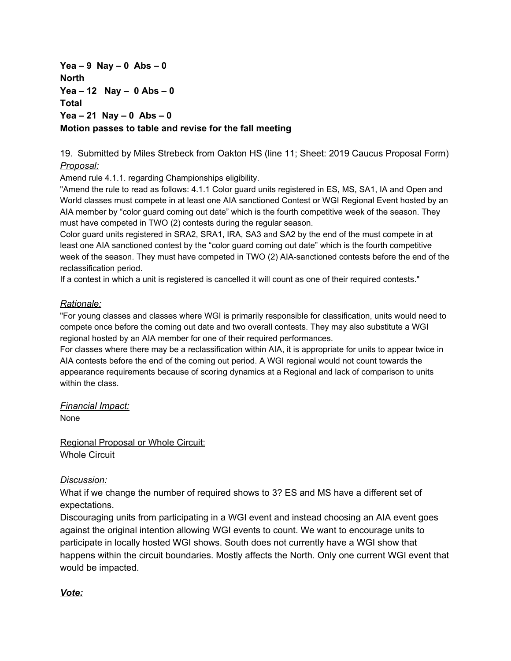**Yea – 9 Nay – 0 Abs – 0 North Yea – 12 Nay – 0 Abs – 0 Total Yea – 21 Nay – 0 Abs – 0 Motion passes to table and revise for the fall meeting**

19. Submitted by Miles Strebeck from Oakton HS (line 11; Sheet: 2019 Caucus Proposal Form) *Proposal:*

Amend rule 4.1.1. regarding Championships eligibility.

"Amend the rule to read as follows: 4.1.1 Color guard units registered in ES, MS, SA1, IA and Open and World classes must compete in at least one AIA sanctioned Contest or WGI Regional Event hosted by an AIA member by "color guard coming out date" which is the fourth competitive week of the season. They must have competed in TWO (2) contests during the regular season.

Color guard units registered in SRA2, SRA1, IRA, SA3 and SA2 by the end of the must compete in at least one AIA sanctioned contest by the "color guard coming out date" which is the fourth competitive week of the season. They must have competed in TWO (2) AIA-sanctioned contests before the end of the reclassification period.

If a contest in which a unit is registered is cancelled it will count as one of their required contests."

### *Rationale:*

"For young classes and classes where WGI is primarily responsible for classification, units would need to compete once before the coming out date and two overall contests. They may also substitute a WGI regional hosted by an AIA member for one of their required performances.

For classes where there may be a reclassification within AIA, it is appropriate for units to appear twice in AIA contests before the end of the coming out period. A WGI regional would not count towards the appearance requirements because of scoring dynamics at a Regional and lack of comparison to units within the class.

*Financial Impact:*

None

Regional Proposal or Whole Circuit: Whole Circuit

## *Discussion:*

What if we change the number of required shows to 3? ES and MS have a different set of expectations.

Discouraging units from participating in a WGI event and instead choosing an AIA event goes against the original intention allowing WGI events to count. We want to encourage units to participate in locally hosted WGI shows. South does not currently have a WGI show that happens within the circuit boundaries. Mostly affects the North. Only one current WGI event that would be impacted.

## *Vote:*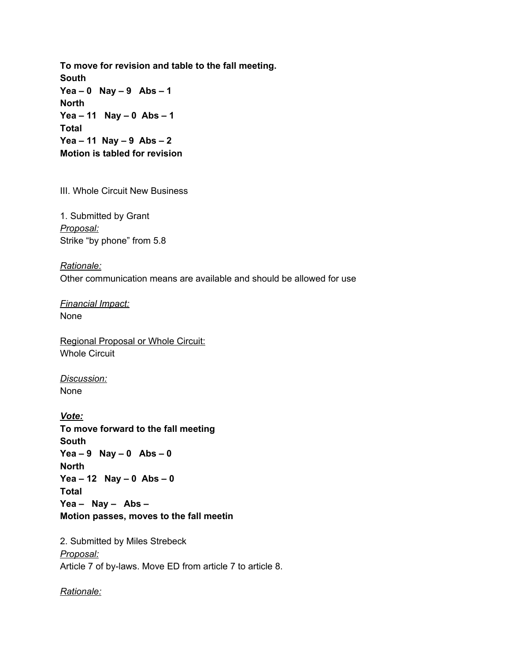**To move for revision and table to the fall meeting. South Yea – 0 Nay – 9 Abs – 1 North Yea – 11 Nay – 0 Abs – 1 Total Yea – 11 Nay – 9 Abs – 2 Motion is tabled for revision**

III. Whole Circuit New Business

1. Submitted by Grant *Proposal:* Strike "by phone" from 5.8

*Rationale:* Other communication means are available and should be allowed for use

*Financial Impact:* None

Regional Proposal or Whole Circuit: Whole Circuit

*Discussion:* None

*Vote:* **To move forward to the fall meeting South Yea – 9 Nay – 0 Abs – 0 North Yea – 12 Nay – 0 Abs – 0 Total Yea – Nay – Abs – Motion passes, moves to the fall meetin**

2. Submitted by Miles Strebeck *Proposal:* Article 7 of by-laws. Move ED from article 7 to article 8.

*Rationale:*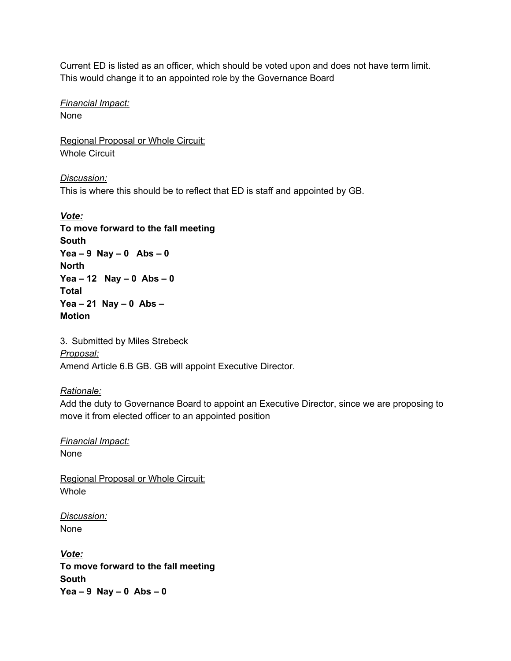Current ED is listed as an officer, which should be voted upon and does not have term limit. This would change it to an appointed role by the Governance Board

*Financial Impact:* None

Regional Proposal or Whole Circuit: Whole Circuit

*Discussion:* This is where this should be to reflect that ED is staff and appointed by GB.

*Vote:* **To move forward to the fall meeting South Yea – 9 Nay – 0 Abs – 0 North Yea – 12 Nay – 0 Abs – 0 Total Yea – 21 Nay – 0 Abs – Motion**

3. Submitted by Miles Strebeck *Proposal:* Amend Article 6.B GB. GB will appoint Executive Director.

## *Rationale:*

Add the duty to Governance Board to appoint an Executive Director, since we are proposing to move it from elected officer to an appointed position

*Financial Impact:* None

Regional Proposal or Whole Circuit: Whole

*Discussion:* None

*Vote:* **To move forward to the fall meeting South Yea – 9 Nay – 0 Abs – 0**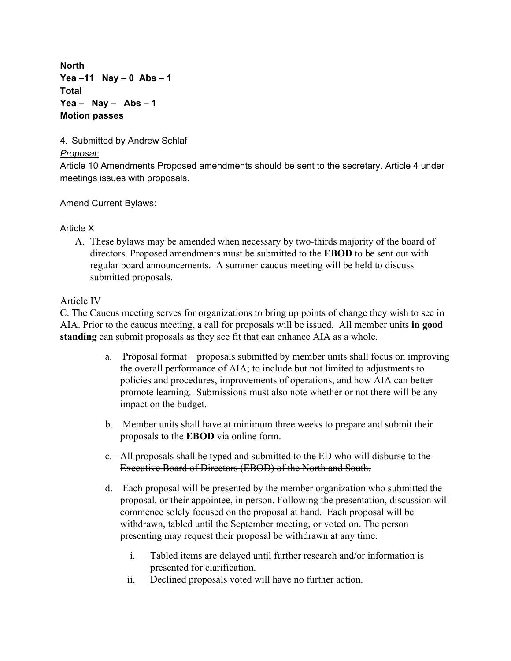**North Yea –11 Nay – 0 Abs – 1 Total Yea – Nay – Abs – 1 Motion passes**

4. Submitted by Andrew Schlaf

# *Proposal:*

Article 10 Amendments Proposed amendments should be sent to the secretary. Article 4 under meetings issues with proposals.

Amend Current Bylaws:

# Article X

A. These bylaws may be amended when necessary by two-thirds majority of the board of directors. Proposed amendments must be submitted to the **EBOD** to be sent out with regular board announcements. A summer caucus meeting will be held to discuss submitted proposals.

# Article IV

C. The Caucus meeting serves for organizations to bring up points of change they wish to see in AIA. Prior to the caucus meeting, a call for proposals will be issued. All member units **in good standing** can submit proposals as they see fit that can enhance AIA as a whole.

- a. Proposal format proposals submitted by member units shall focus on improving the overall performance of AIA; to include but not limited to adjustments to policies and procedures, improvements of operations, and how AIA can better promote learning. Submissions must also note whether or not there will be any impact on the budget.
- b. Member units shall have at minimum three weeks to prepare and submit their proposals to the **EBOD** via online form.
- c. All proposals shall be typed and submitted to the ED who will disburse to the Executive Board of Directors (EBOD) of the North and South.
- d. Each proposal will be presented by the member organization who submitted the proposal, or their appointee, in person. Following the presentation, discussion will commence solely focused on the proposal at hand. Each proposal will be withdrawn, tabled until the September meeting, or voted on. The person presenting may request their proposal be withdrawn at any time.
	- i. Tabled items are delayed until further research and/or information is presented for clarification.
	- ii. Declined proposals voted will have no further action.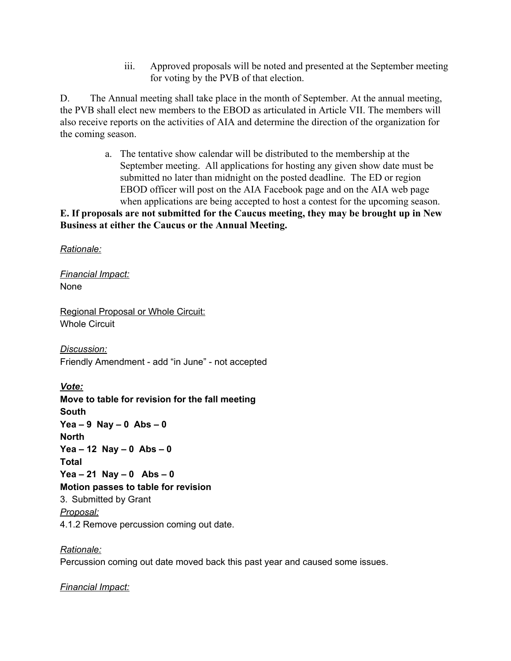iii. Approved proposals will be noted and presented at the September meeting for voting by the PVB of that election.

D. The Annual meeting shall take place in the month of September. At the annual meeting, the PVB shall elect new members to the EBOD as articulated in Article VII. The members will also receive reports on the activities of AIA and determine the direction of the organization for the coming season.

> a. The tentative show calendar will be distributed to the membership at the September meeting. All applications for hosting any given show date must be submitted no later than midnight on the posted deadline. The ED or region EBOD officer will post on the AIA Facebook page and on the AIA web page when applications are being accepted to host a contest for the upcoming season.

**E. If proposals are not submitted for the Caucus meeting, they may be brought up in New Business at either the Caucus or the Annual Meeting.**

*Rationale:*

*Financial Impact:* None

Regional Proposal or Whole Circuit: Whole Circuit

*Discussion:* Friendly Amendment - add "in June" - not accepted

*Vote:* **Move to table for revision for the fall meeting South Yea – 9 Nay – 0 Abs – 0 North Yea – 12 Nay – 0 Abs – 0 Total Yea – 21 Nay – 0 Abs – 0 Motion passes to table for revision** 3. Submitted by Grant *Proposal:* 4.1.2 Remove percussion coming out date.

*Rationale:* Percussion coming out date moved back this past year and caused some issues.

*Financial Impact:*